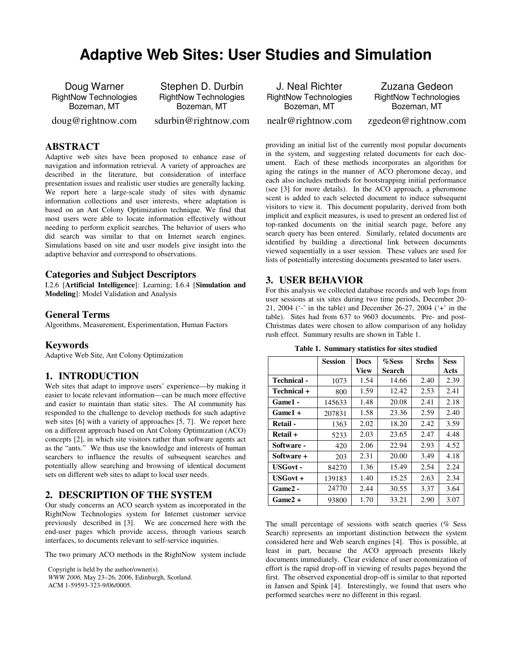# **Adaptive Web Sites: User Studies and Simulation**

Doug Warner RightNow Technologies Bozeman, MT

doug@rightnow.com

Stephen D. Durbin RightNow Technologies Bozeman, MT

sdurbin@rightnow.com

# **ABSTRACT**

Adaptive web sites have been proposed to enhance ease of navigation and information retrieval. A variety of approaches are described in the literature, but consideration of interface presentation issues and realistic user studies are generally lacking. We report here a large-scale study of sites with dynamic information collections and user interests, where adaptation is based on an Ant Colony Optimization technique. We find that most users were able to locate information effectively without needing to perform explicit searches. The behavior of users who did search was similar to that on Internet search engines. Simulations based on site and user models give insight into the adaptive behavior and correspond to observations.

#### **Categories and Subject Descriptors**

I.2.6 [**Artificial Intelligence**]: Learning; I.6.4 [**Simulation and Modeling**]: Model Validation and Analysis

#### **General Terms**

Algorithms, Measurement, Experimentation, Human Factors

#### **Keywords**

Adaptive Web Site, Ant Colony Optimization

#### **1. INTRODUCTION**

Web sites that adapt to improve users' experience—by making it easier to locate relevant information—can be much more effective and easier to maintain than static sites. The AI community has responded to the challenge to develop methods for such adaptive web sites [6] with a variety of approaches [5, 7]. We report here on a different approach based on Ant Colony Optimization (ACO) concepts [2], in which site visitors rather than software agents act as the "ants." We thus use the knowledge and interests of human searchers to influence the results of subsequent searches and potentially allow searching and browsing of identical document sets on different web sites to adapt to local user needs.

#### **2. DESCRIPTION OF THE SYSTEM**

Our study concerns an ACO search system as incorporated in the RightNow Technologies system for Internet customer service previously described in [3]. We are concerned here with the end-user pages which provide access, through various search interfaces, to documents relevant to self-service inquiries.

The two primary ACO methods in the RightNow system include

Copyright is held by the author/owner(s).

*WWW 2006,* May 23–26, 2006, Edinburgh, Scotland. ACM 1-59593-323-9/06/0005.

J. Neal Richter RightNow Technologies Bozeman, MT

Zuzana Gedeon RightNow Technologies Bozeman, MT

nealr@rightnow.com

zgedeon@rightnow.com

providing an initial list of the currently most popular documents in the system, and suggesting related documents for each document. Each of these methods incorporates an algorithm for aging the ratings in the manner of ACO pheromone decay, and each also includes methods for bootstrapping initial performance (see [3] for more details). In the ACO approach, a pheromone scent is added to each selected document to induce subsequent visitors to view it. This document popularity, derived from both implicit and explicit measures, is used to present an ordered list of top-ranked documents on the initial search page, before any search query has been entered. Similarly, related documents are identified by building a directional link between documents viewed sequentially in a user session. These values are used for lists of potentially interesting documents presented to later users.

#### **3. USER BEHAVIOR**

For this analysis we collected database records and web logs from user sessions at six sites during two time periods, December 20- 21, 2004 ('-' in the table) and December 26-27, 2004 ('+' in the table). Sites had from 637 to 9603 documents. Pre- and post-Christmas dates were chosen to allow comparison of any holiday rush effect. Summary results are shown in Table 1.

|                 | <b>Session</b> | <b>Docs</b> | %Sess  | <b>Srchs</b> | <b>Sess</b> |
|-----------------|----------------|-------------|--------|--------------|-------------|
|                 |                | <b>View</b> | Search |              | Acts        |
| Technical -     | 1073           | 1.54        | 14.66  | 2.40         | 2.39        |
| Technical +     | 800            | 1.59        | 12.42  | 2.53         | 2.41        |
| Game1 -         | 145633         | 1.48        | 20.08  | 2.41         | 2.18        |
| Game1 +         | 207831         | 1.58        | 23.36  | 2.59         | 2.40        |
| Retail -        | 1363           | 2.02        | 18.20  | 2.42         | 3.59        |
| Retail +        | 5233           | 2.03        | 23.65  | 2.47         | 4.48        |
| Software -      | 420            | 2.06        | 22.94  | 2.93         | 4.52        |
| Software +      | 203            | 2.31        | 20.00  | 3.49         | 4.18        |
| <b>USGovt -</b> | 84270          | 1.36        | 15.49  | 2.54         | 2.24        |
| USGovt +        | 139183         | 1.40        | 15.25  | 2.63         | 2.34        |
| Game2 -         | 24770          | 2.44        | 30.55  | 3.37         | 3.64        |
| $Game2 +$       | 93800          | 1.70        | 33.21  | 2.90         | 3.07        |

**Table 1. Summary statistics for sites studied** 

The small percentage of sessions with search queries (% Sess Search) represents an important distinction between the system considered here and Web search engines [4]. This is possible, at least in part, because the ACO approach presents likely documents immediately. Clear evidence of user economization of effort is the rapid drop-off in viewing of results pages beyond the first. The observed exponential drop-off is similar to that reported in Jansen and Spink [4]. Interestingly, we found that users who performed searches were no different in this regard.